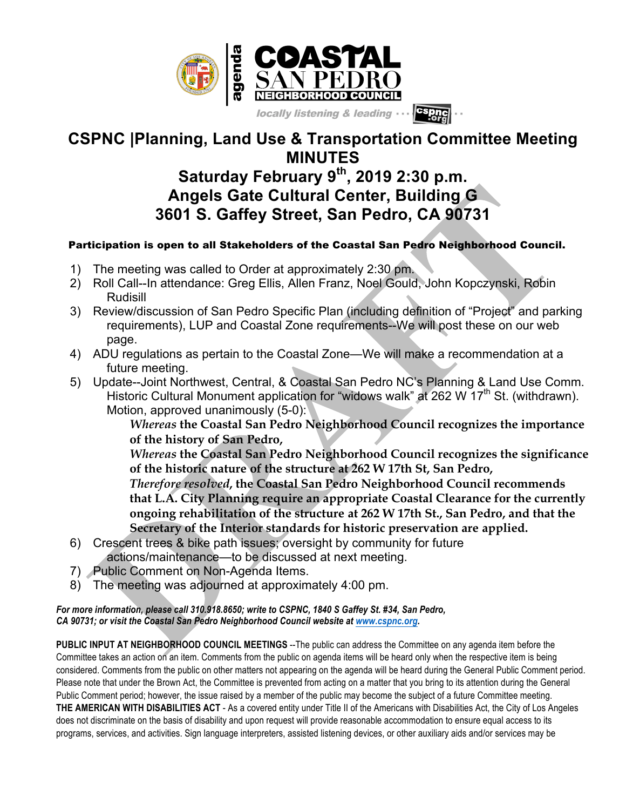

## **CSPNC |Planning, Land Use & Transportation Committee Meeting MINUTES**

## **Saturday February 9th, 2019 2:30 p.m. Angels Gate Cultural Center, Building G 3601 S. Gaffey Street, San Pedro, CA 90731**

## Participation is open to all Stakeholders of the Coastal San Pedro Neighborhood Council.

- 1) The meeting was called to Order at approximately 2:30 pm.
- 2) Roll Call--In attendance: Greg Ellis, Allen Franz, Noel Gould, John Kopczynski, Robin Rudisill
- 3) Review/discussion of San Pedro Specific Plan (including definition of "Project" and parking requirements), LUP and Coastal Zone requirements--We will post these on our web page.
- 4) ADU regulations as pertain to the Coastal Zone—We will make a recommendation at a future meeting.
- 5) Update--Joint Northwest, Central, & Coastal San Pedro NC's Planning & Land Use Comm. Historic Cultural Monument application for "widows walk" at 262 W 17<sup>th</sup> St. (withdrawn). Motion, approved unanimously (5-0):

*Whereas* **the Coastal San Pedro Neighborhood Council recognizes the importance of the history of San Pedro,**

*Whereas* **the Coastal San Pedro Neighborhood Council recognizes the significance of the historic nature of the structure at 262 W 17th St, San Pedro,**

*Therefore resolved***, the Coastal San Pedro Neighborhood Council recommends that L.A. City Planning require an appropriate Coastal Clearance for the currently ongoing rehabilitation of the structure at 262 W 17th St., San Pedro, and that the Secretary of the Interior standards for historic preservation are applied.**

- 6) Crescent trees & bike path issues; oversight by community for future actions/maintenance—to be discussed at next meeting.
- 7) Public Comment on Non-Agenda Items.
- 8) The meeting was adjourned at approximately 4:00 pm.

## *For more information, please call 310.918.8650; write to CSPNC, 1840 S Gaffey St. #34, San Pedro, CA 90731; or visit the Coastal San Pedro Neighborhood Council website at www.cspnc.org.*

**PUBLIC INPUT AT NEIGHBORHOOD COUNCIL MEETINGS** --The public can address the Committee on any agenda item before the Committee takes an action on an item. Comments from the public on agenda items will be heard only when the respective item is being considered. Comments from the public on other matters not appearing on the agenda will be heard during the General Public Comment period. Please note that under the Brown Act, the Committee is prevented from acting on a matter that you bring to its attention during the General Public Comment period; however, the issue raised by a member of the public may become the subject of a future Committee meeting. **THE AMERICAN WITH DISABILITIES ACT** - As a covered entity under Title II of the Americans with Disabilities Act, the City of Los Angeles does not discriminate on the basis of disability and upon request will provide reasonable accommodation to ensure equal access to its programs, services, and activities. Sign language interpreters, assisted listening devices, or other auxiliary aids and/or services may be